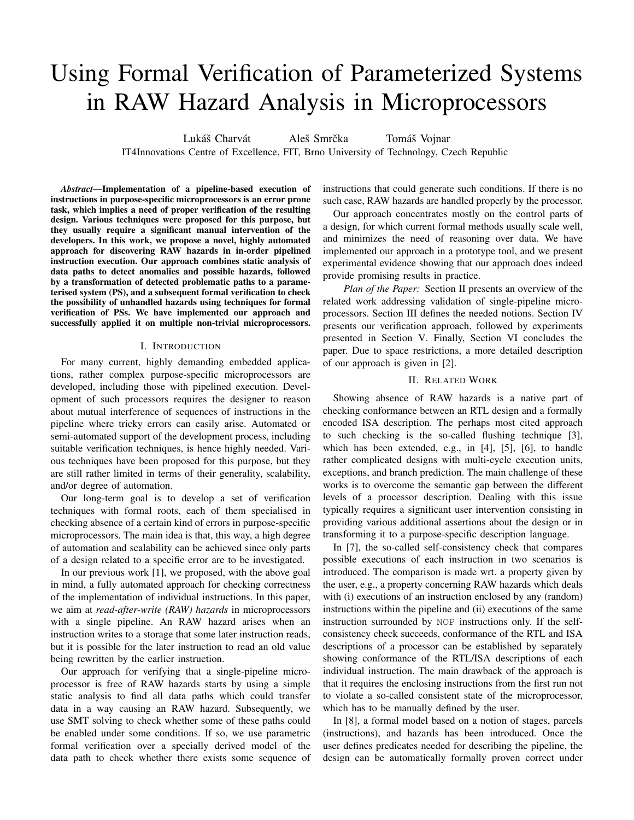# Using Formal Verification of Parameterized Systems in RAW Hazard Analysis in Microprocessors

Lukáš Charvát *Aleš Smrčka* Tomáš Vojnar IT4Innovations Centre of Excellence, FIT, Brno University of Technology, Czech Republic

*Abstract*—Implementation of a pipeline-based execution of instructions in purpose-specific microprocessors is an error prone task, which implies a need of proper verification of the resulting design. Various techniques were proposed for this purpose, but they usually require a significant manual intervention of the developers. In this work, we propose a novel, highly automated approach for discovering RAW hazards in in-order pipelined instruction execution. Our approach combines static analysis of data paths to detect anomalies and possible hazards, followed by a transformation of detected problematic paths to a parameterised system (PS), and a subsequent formal verification to check the possibility of unhandled hazards using techniques for formal verification of PSs. We have implemented our approach and successfully applied it on multiple non-trivial microprocessors.

## I. INTRODUCTION

For many current, highly demanding embedded applications, rather complex purpose-specific microprocessors are developed, including those with pipelined execution. Development of such processors requires the designer to reason about mutual interference of sequences of instructions in the pipeline where tricky errors can easily arise. Automated or semi-automated support of the development process, including suitable verification techniques, is hence highly needed. Various techniques have been proposed for this purpose, but they are still rather limited in terms of their generality, scalability, and/or degree of automation.

Our long-term goal is to develop a set of verification techniques with formal roots, each of them specialised in checking absence of a certain kind of errors in purpose-specific microprocessors. The main idea is that, this way, a high degree of automation and scalability can be achieved since only parts of a design related to a specific error are to be investigated.

In our previous work [1], we proposed, with the above goal in mind, a fully automated approach for checking correctness of the implementation of individual instructions. In this paper, we aim at *read-after-write (RAW) hazards* in microprocessors with a single pipeline. An RAW hazard arises when an instruction writes to a storage that some later instruction reads, but it is possible for the later instruction to read an old value being rewritten by the earlier instruction.

Our approach for verifying that a single-pipeline microprocessor is free of RAW hazards starts by using a simple static analysis to find all data paths which could transfer data in a way causing an RAW hazard. Subsequently, we use SMT solving to check whether some of these paths could be enabled under some conditions. If so, we use parametric formal verification over a specially derived model of the data path to check whether there exists some sequence of instructions that could generate such conditions. If there is no such case, RAW hazards are handled properly by the processor.

Our approach concentrates mostly on the control parts of a design, for which current formal methods usually scale well, and minimizes the need of reasoning over data. We have implemented our approach in a prototype tool, and we present experimental evidence showing that our approach does indeed provide promising results in practice.

*Plan of the Paper:* Section II presents an overview of the related work addressing validation of single-pipeline microprocessors. Section III defines the needed notions. Section IV presents our verification approach, followed by experiments presented in Section V. Finally, Section VI concludes the paper. Due to space restrictions, a more detailed description of our approach is given in [2].

# II. RELATED WORK

Showing absence of RAW hazards is a native part of checking conformance between an RTL design and a formally encoded ISA description. The perhaps most cited approach to such checking is the so-called flushing technique [3], which has been extended, e.g., in [4], [5], [6], to handle rather complicated designs with multi-cycle execution units, exceptions, and branch prediction. The main challenge of these works is to overcome the semantic gap between the different levels of a processor description. Dealing with this issue typically requires a significant user intervention consisting in providing various additional assertions about the design or in transforming it to a purpose-specific description language.

In [7], the so-called self-consistency check that compares possible executions of each instruction in two scenarios is introduced. The comparison is made wrt. a property given by the user, e.g., a property concerning RAW hazards which deals with (i) executions of an instruction enclosed by any (random) instructions within the pipeline and (ii) executions of the same instruction surrounded by NOP instructions only. If the selfconsistency check succeeds, conformance of the RTL and ISA descriptions of a processor can be established by separately showing conformance of the RTL/ISA descriptions of each individual instruction. The main drawback of the approach is that it requires the enclosing instructions from the first run not to violate a so-called consistent state of the microprocessor, which has to be manually defined by the user.

In [8], a formal model based on a notion of stages, parcels (instructions), and hazards has been introduced. Once the user defines predicates needed for describing the pipeline, the design can be automatically formally proven correct under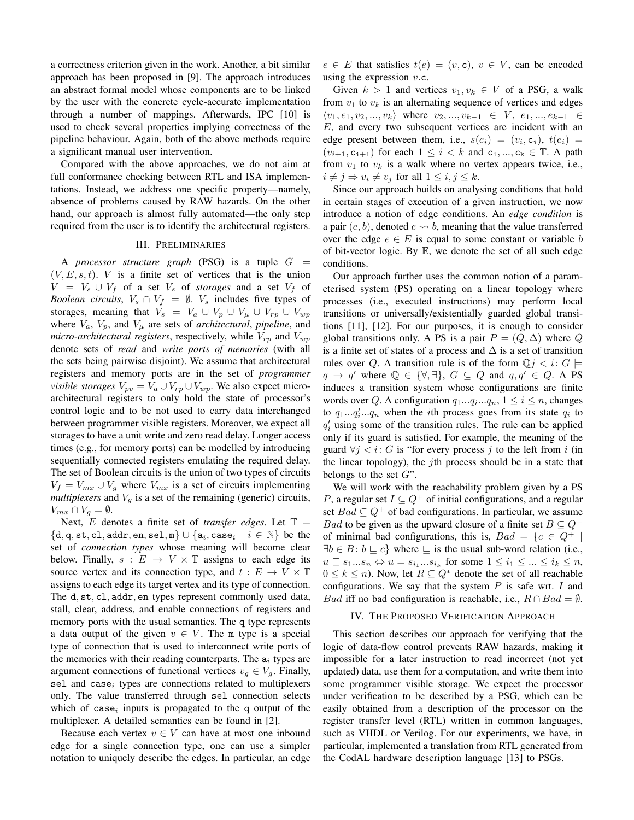a correctness criterion given in the work. Another, a bit similar approach has been proposed in [9]. The approach introduces an abstract formal model whose components are to be linked by the user with the concrete cycle-accurate implementation through a number of mappings. Afterwards, IPC [10] is used to check several properties implying correctness of the pipeline behaviour. Again, both of the above methods require a significant manual user intervention.

Compared with the above approaches, we do not aim at full conformance checking between RTL and ISA implementations. Instead, we address one specific property—namely, absence of problems caused by RAW hazards. On the other hand, our approach is almost fully automated—the only step required from the user is to identify the architectural registers.

## III. PRELIMINARIES

A *processor structure graph* (PSG) is a tuple  $G =$  $(V, E, s, t)$ . V is a finite set of vertices that is the union  $V = V<sub>s</sub> \cup V<sub>f</sub>$  of a set  $V<sub>s</sub>$  of *storages* and a set  $V<sub>f</sub>$  of *Boolean circuits*,  $V_s \cap V_f = \emptyset$ .  $V_s$  includes five types of storages, meaning that  $V_s = V_a \cup V_p \cup V_\mu \cup V_{rp} \cup V_{wp}$ where  $V_a$ ,  $V_p$ , and  $V_\mu$  are sets of *architectural*, *pipeline*, and *micro-architectural registers*, respectively, while  $V_{rp}$  and  $V_{wp}$ denote sets of *read* and *write ports of memories* (with all the sets being pairwise disjoint). We assume that architectural registers and memory ports are in the set of *programmer visible storages*  $V_{pv} = V_a \cup V_{rp} \cup V_{wp}$ . We also expect microarchitectural registers to only hold the state of processor's control logic and to be not used to carry data interchanged between programmer visible registers. Moreover, we expect all storages to have a unit write and zero read delay. Longer access times (e.g., for memory ports) can be modelled by introducing sequentially connected registers emulating the required delay. The set of Boolean circuits is the union of two types of circuits  $V_f = V_{mx} \cup V_g$  where  $V_{mx}$  is a set of circuits implementing *multiplexers* and  $V<sub>q</sub>$  is a set of the remaining (generic) circuits,  $V_{mx} \cap V_g = \emptyset.$ 

Next,  $E$  denotes a finite set of *transfer edges*. Let  $T =$  $\{d, q, st, c1, addr, en, sel, m\} \cup \{a_i, case_i \mid i \in \mathbb{N}\}$  be the set of *connection types* whose meaning will become clear below. Finally,  $s : E \to V \times \mathbb{T}$  assigns to each edge its source vertex and its connection type, and  $t : E \to V \times T$ assigns to each edge its target vertex and its type of connection. The d, st, cl, addr, en types represent commonly used data, stall, clear, address, and enable connections of registers and memory ports with the usual semantics. The q type represents a data output of the given  $v \in V$ . The m type is a special type of connection that is used to interconnect write ports of the memories with their reading counterparts. The  $a_i$  types are argument connections of functional vertices  $v_g \in V_g$ . Finally, sel and case<sub>i</sub> types are connections related to multiplexers only. The value transferred through sel connection selects which of case<sub>i</sub> inputs is propagated to the q output of the multiplexer. A detailed semantics can be found in [2].

Because each vertex  $v \in V$  can have at most one inbound edge for a single connection type, one can use a simpler notation to uniquely describe the edges. In particular, an edge  $e \in E$  that satisfies  $t(e) = (v, c), v \in V$ , can be encoded using the expression  $v.c.$ 

Given  $k > 1$  and vertices  $v_1, v_k \in V$  of a PSG, a walk from  $v_1$  to  $v_k$  is an alternating sequence of vertices and edges  $\langle v_1, e_1, v_2, ..., v_k \rangle$  where  $v_2, ..., v_{k-1} \in V, e_1, ..., e_{k-1} \in$ E, and every two subsequent vertices are incident with an edge present between them, i.e.,  $s(e_i) = (v_i, c_i), t(e_i) =$  $(v_{i+1}, c_{i+1})$  for each  $1 \leq i < k$  and  $c_1, ..., c_k \in \mathbb{T}$ . A path from  $v_1$  to  $v_k$  is a walk where no vertex appears twice, i.e.,  $i \neq j \Rightarrow v_i \neq v_j$  for all  $1 \leq i, j \leq k$ .

Since our approach builds on analysing conditions that hold in certain stages of execution of a given instruction, we now introduce a notion of edge conditions. An *edge condition* is a pair  $(e, b)$ , denoted  $e \rightarrow b$ , meaning that the value transferred over the edge  $e \in E$  is equal to some constant or variable b of bit-vector logic. By  $E$ , we denote the set of all such edge conditions.

Our approach further uses the common notion of a parameterised system (PS) operating on a linear topology where processes (i.e., executed instructions) may perform local transitions or universally/existentially guarded global transitions [11], [12]. For our purposes, it is enough to consider global transitions only. A PS is a pair  $P = (Q, \Delta)$  where Q is a finite set of states of a process and  $\Delta$  is a set of transition rules over Q. A transition rule is of the form  $\mathbb{Q}$ *j* < *i*:  $G \models$  $q \rightarrow q'$  where  $\mathbb{Q} \in \{ \forall, \exists \}, G \subseteq Q$  and  $q, q' \in Q$ . A PS induces a transition system whose configurations are finite words over Q. A configuration  $q_1...q_i...q_n$ ,  $1 \le i \le n$ , changes to  $q_1...q_i...q_n$  when the *i*th process goes from its state  $q_i$  to  $q'_i$  using some of the transition rules. The rule can be applied only if its guard is satisfied. For example, the meaning of the guard  $\forall j < i$ : G is "for every process j to the left from i (in the linear topology), the jth process should be in a state that belongs to the set  $G$ ".

We will work with the reachability problem given by a PS P, a regular set  $I \subseteq Q^+$  of initial configurations, and a regular set  $Bad \subseteq Q^+$  of bad configurations. In particular, we assume *Bad* to be given as the upward closure of a finite set  $B \subseteq Q^+$ of minimal bad configurations, this is,  $Bad = \{c \in Q^+ |$  $\exists b \in B : b \sqsubseteq c$  where  $\sqsubseteq$  is the usual sub-word relation (i.e.,  $u \sqsubseteq s_1...s_n \Leftrightarrow u = s_{i_1}...s_{i_k}$  for some  $1 \leq i_1 \leq ... \leq i_k \leq n$ ,  $0 \leq k \leq n$ ). Now, let  $R \subseteq Q^*$  denote the set of all reachable configurations. We say that the system  $P$  is safe wrt.  $I$  and *Bad* iff no bad configuration is reachable, i.e.,  $R \cap Bad = \emptyset$ .

#### IV. THE PROPOSED VERIFICATION APPROACH

This section describes our approach for verifying that the logic of data-flow control prevents RAW hazards, making it impossible for a later instruction to read incorrect (not yet updated) data, use them for a computation, and write them into some programmer visible storage. We expect the processor under verification to be described by a PSG, which can be easily obtained from a description of the processor on the register transfer level (RTL) written in common languages, such as VHDL or Verilog. For our experiments, we have, in particular, implemented a translation from RTL generated from the CodAL hardware description language [13] to PSGs.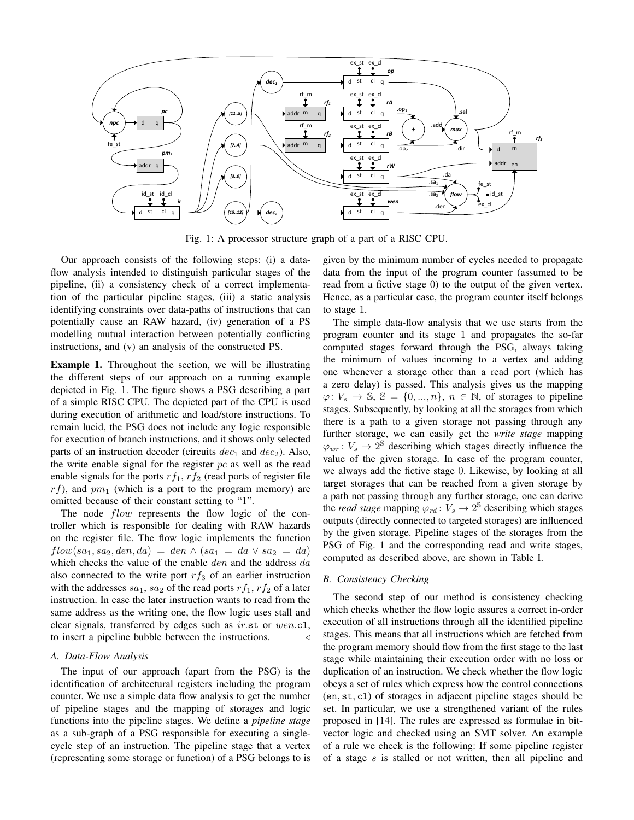

Fig. 1: A processor structure graph of a part of a RISC CPU.

Our approach consists of the following steps: (i) a dataflow analysis intended to distinguish particular stages of the pipeline, (ii) a consistency check of a correct implementation of the particular pipeline stages, (iii) a static analysis identifying constraints over data-paths of instructions that can potentially cause an RAW hazard, (iv) generation of a PS modelling mutual interaction between potentially conflicting instructions, and (v) an analysis of the constructed PS.

Example 1. Throughout the section, we will be illustrating the different steps of our approach on a running example depicted in Fig. 1. The figure shows a PSG describing a part of a simple RISC CPU. The depicted part of the CPU is used during execution of arithmetic and load/store instructions. To remain lucid, the PSG does not include any logic responsible for execution of branch instructions, and it shows only selected parts of an instruction decoder (circuits  $dec_1$  and  $dec_2$ ). Also, the write enable signal for the register  $pc$  as well as the read enable signals for the ports  $rf_1$ ,  $rf_2$  (read ports of register file  $rf$ ), and  $pm_1$  (which is a port to the program memory) are omitted because of their constant setting to "1".

The node *flow* represents the flow logic of the controller which is responsible for dealing with RAW hazards on the register file. The flow logic implements the function  $flow(sa_1, sa_2, den, da) = den \wedge (sa_1 = da \vee sa_2 = da)$ which checks the value of the enable den and the address da also connected to the write port  $rf_3$  of an earlier instruction with the addresses  $sa_1$ ,  $sa_2$  of the read ports  $rf_1$ ,  $rf_2$  of a later instruction. In case the later instruction wants to read from the same address as the writing one, the flow logic uses stall and clear signals, transferred by edges such as ir.st or wen.cl, to insert a pipeline bubble between the instructions.  $\triangleleft$ 

## *A. Data-Flow Analysis*

The input of our approach (apart from the PSG) is the identification of architectural registers including the program counter. We use a simple data flow analysis to get the number of pipeline stages and the mapping of storages and logic functions into the pipeline stages. We define a *pipeline stage* as a sub-graph of a PSG responsible for executing a singlecycle step of an instruction. The pipeline stage that a vertex (representing some storage or function) of a PSG belongs to is given by the minimum number of cycles needed to propagate data from the input of the program counter (assumed to be read from a fictive stage 0) to the output of the given vertex. Hence, as a particular case, the program counter itself belongs to stage 1.

The simple data-flow analysis that we use starts from the program counter and its stage 1 and propagates the so-far computed stages forward through the PSG, always taking the minimum of values incoming to a vertex and adding one whenever a storage other than a read port (which has a zero delay) is passed. This analysis gives us the mapping  $\varphi: V_s \to \mathbb{S}, \mathbb{S} = \{0, ..., n\}, n \in \mathbb{N}, \text{ of storage to pipeline}$ stages. Subsequently, by looking at all the storages from which there is a path to a given storage not passing through any further storage, we can easily get the *write stage* mapping  $\varphi_{wr} : V_s \to 2^{\mathbb{S}}$  describing which stages directly influence the value of the given storage. In case of the program counter, we always add the fictive stage 0. Likewise, by looking at all target storages that can be reached from a given storage by a path not passing through any further storage, one can derive the *read stage* mapping  $\varphi_{rd}$ :  $V_s \rightarrow 2^{\mathcal{S}}$  describing which stages outputs (directly connected to targeted storages) are influenced by the given storage. Pipeline stages of the storages from the PSG of Fig. 1 and the corresponding read and write stages, computed as described above, are shown in Table I.

# *B. Consistency Checking*

The second step of our method is consistency checking which checks whether the flow logic assures a correct in-order execution of all instructions through all the identified pipeline stages. This means that all instructions which are fetched from the program memory should flow from the first stage to the last stage while maintaining their execution order with no loss or duplication of an instruction. We check whether the flow logic obeys a set of rules which express how the control connections (en, st, cl) of storages in adjacent pipeline stages should be set. In particular, we use a strengthened variant of the rules proposed in [14]. The rules are expressed as formulae in bitvector logic and checked using an SMT solver. An example of a rule we check is the following: If some pipeline register of a stage s is stalled or not written, then all pipeline and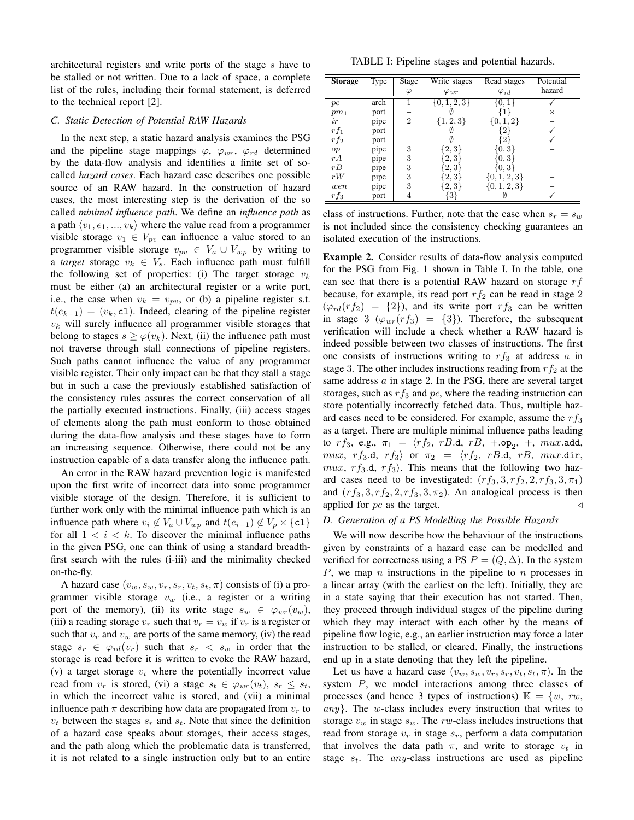architectural registers and write ports of the stage s have to be stalled or not written. Due to a lack of space, a complete list of the rules, including their formal statement, is deferred to the technical report [2].

# *C. Static Detection of Potential RAW Hazards*

In the next step, a static hazard analysis examines the PSG and the pipeline stage mappings  $\varphi$ ,  $\varphi_{wr}$ ,  $\varphi_{rd}$  determined by the data-flow analysis and identifies a finite set of socalled *hazard cases*. Each hazard case describes one possible source of an RAW hazard. In the construction of hazard cases, the most interesting step is the derivation of the so called *minimal influence path*. We define an *influence path* as a path  $\langle v_1, e_1, ..., v_k \rangle$  where the value read from a programmer visible storage  $v_1 \in V_{pv}$  can influence a value stored to an programmer visible storage  $v_{pv} \in V_a \cup V_{wp}$  by writing to a *target* storage  $v_k \in V_s$ . Each influence path must fulfill the following set of properties: (i) The target storage  $v_k$ must be either (a) an architectural register or a write port, i.e., the case when  $v_k = v_{pv}$ , or (b) a pipeline register s.t.  $t(e_{k-1}) = (v_k, c_1)$ . Indeed, clearing of the pipeline register  $v_k$  will surely influence all programmer visible storages that belong to stages  $s \geq \varphi(v_k)$ . Next, (ii) the influence path must not traverse through stall connections of pipeline registers. Such paths cannot influence the value of any programmer visible register. Their only impact can be that they stall a stage but in such a case the previously established satisfaction of the consistency rules assures the correct conservation of all the partially executed instructions. Finally, (iii) access stages of elements along the path must conform to those obtained during the data-flow analysis and these stages have to form an increasing sequence. Otherwise, there could not be any instruction capable of a data transfer along the influence path.

An error in the RAW hazard prevention logic is manifested upon the first write of incorrect data into some programmer visible storage of the design. Therefore, it is sufficient to further work only with the minimal influence path which is an influence path where  $v_i \notin V_a \cup V_{wp}$  and  $t(e_{i-1}) \notin V_p \times \{c1\}$ for all  $1 \lt i \lt k$ . To discover the minimal influence paths in the given PSG, one can think of using a standard breadthfirst search with the rules (i-iii) and the minimality checked on-the-fly.

A hazard case  $(v_w, s_w, v_r, s_r, v_t, s_t, \pi)$  consists of (i) a programmer visible storage  $v_w$  (i.e., a register or a writing port of the memory), (ii) its write stage  $s_w \in \varphi_{wr}(v_w)$ , (iii) a reading storage  $v_r$  such that  $v_r = v_w$  if  $v_r$  is a register or such that  $v_r$  and  $v_w$  are ports of the same memory, (iv) the read stage  $s_r \in \varphi_{rd}(v_r)$  such that  $s_r < s_w$  in order that the storage is read before it is written to evoke the RAW hazard, (v) a target storage  $v_t$  where the potentially incorrect value read from  $v_r$  is stored, (vi) a stage  $s_t \in \varphi_{wr}(v_t)$ ,  $s_r \leq s_t$ , in which the incorrect value is stored, and (vii) a minimal influence path  $\pi$  describing how data are propagated from  $v_r$  to  $v_t$  between the stages  $s_t$  and  $s_t$ . Note that since the definition of a hazard case speaks about storages, their access stages, and the path along which the problematic data is transferred, it is not related to a single instruction only but to an entire

TABLE I: Pipeline stages and potential hazards.

| <b>Storage</b> | Type | Stage          | Write stages     | Read stages    | Potential |
|----------------|------|----------------|------------------|----------------|-----------|
|                |      | φ              | $\varphi_{wr}$   | $\varphi_{rd}$ | hazard    |
| pc             | arch |                | $\{0, 1, 2, 3\}$ | 0, 1           |           |
| $pm_1$         | port |                |                  |                | ×         |
| ir             | pipe | $\overline{2}$ | $\{1, 2, 3\}$    | $\{0,1,2\}$    |           |
| $rf_1$         | port |                |                  |                |           |
| $rf_2$         | port |                |                  | 2              |           |
| op             | pipe | 3              | 2,3              | [0, 3]         |           |
| rA             | pipe | 3              | 3                | 0.3            |           |
| rB             | pipe | 3              | 2, 3             | 0, 3           |           |
| rW             | pipe | 3              | 2.3              | [0, 1, 2, 3]   |           |
| wen            | pipe | 3              | 2,3              | [0, 1, 2, 3]   |           |
| $rf_3$         | port | 4              | 3 <sup>1</sup>   |                |           |

class of instructions. Further, note that the case when  $s_r = s_w$ is not included since the consistency checking guarantees an isolated execution of the instructions.

Example 2. Consider results of data-flow analysis computed for the PSG from Fig. 1 shown in Table I. In the table, one can see that there is a potential RAW hazard on storage  $rf$ because, for example, its read port  $rf_2$  can be read in stage 2  $(\varphi_{rd}(rf_2) = \{2\})$ , and its write port  $rf_3$  can be written in stage 3 ( $\varphi_{wr}(rf_3) = \{3\}$ ). Therefore, the subsequent verification will include a check whether a RAW hazard is indeed possible between two classes of instructions. The first one consists of instructions writing to  $rf_3$  at address a in stage 3. The other includes instructions reading from  $rf_2$  at the same address  $a$  in stage 2. In the PSG, there are several target storages, such as  $rf_3$  and  $pc$ , where the reading instruction can store potentially incorrectly fetched data. Thus, multiple hazard cases need to be considered. For example, assume the  $rf_3$ as a target. There are multiple minimal influence paths leading to  $rf_3$ , e.g.,  $\pi_1 = \langle rf_2, rB.d, rB, +.op_2, +, mux.add,$ mux, rf<sub>3</sub>.d, rf<sub>3</sub>) or  $\pi_2 = \langle rf_2, rB.d, rB, mux.dir,$ mux,  $rf_3$ .d,  $rf_3$ ). This means that the following two hazard cases need to be investigated:  $(r f_3, 3, r f_2, 2, r f_3, 3, \pi_1)$ and  $(r f_3, 3, r f_2, 2, r f_3, 3, \pi_2)$ . An analogical process is then applied for  $pc$  as the target.

# *D. Generation of a PS Modelling the Possible Hazards*

We will now describe how the behaviour of the instructions given by constraints of a hazard case can be modelled and verified for correctness using a PS  $P = (Q, \Delta)$ . In the system P, we map n instructions in the pipeline to n processes in a linear array (with the earliest on the left). Initially, they are in a state saying that their execution has not started. Then, they proceed through individual stages of the pipeline during which they may interact with each other by the means of pipeline flow logic, e.g., an earlier instruction may force a later instruction to be stalled, or cleared. Finally, the instructions end up in a state denoting that they left the pipeline.

Let us have a hazard case  $(v_w, s_w, v_r, s_r, v_t, s_t, \pi)$ . In the system P, we model interactions among three classes of processes (and hence 3 types of instructions)  $\mathbb{K} = \{w, rw,$  $any$ . The w-class includes every instruction that writes to storage  $v_w$  in stage  $s_w$ . The rw-class includes instructions that read from storage  $v_r$  in stage  $s_r$ , perform a data computation that involves the data path  $\pi$ , and write to storage  $v_t$  in stage  $s_t$ . The *any*-class instructions are used as pipeline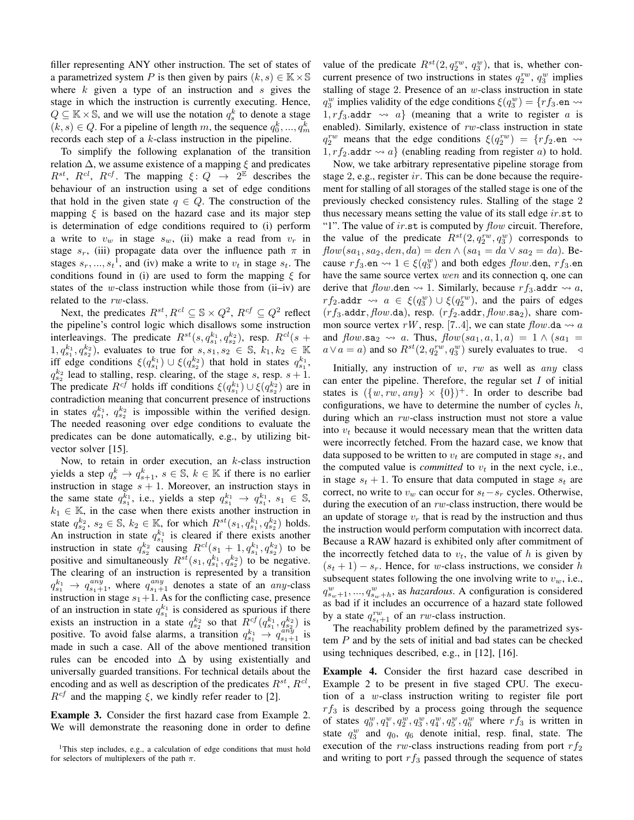filler representing ANY other instruction. The set of states of a parametrized system P is then given by pairs  $(k, s) \in \mathbb{K} \times \mathbb{S}$ where  $k$  given a type of an instruction and s gives the stage in which the instruction is currently executing. Hence,  $Q \subseteq \mathbb{K} \times \mathbb{S}$ , and we will use the notation  $q_s^k$  to denote a stage  $(k, s) \in Q$ . For a pipeline of length m, the sequence  $q_0^k, ..., q_m^k$ records each step of a k-class instruction in the pipeline.

To simplify the following explanation of the transition relation  $\Delta$ , we assume existence of a mapping  $\xi$  and predicates  $R^{st}$ ,  $R^{cl}$ ,  $R^{cf}$ . The mapping  $\xi: Q \rightarrow 2^{\mathbb{E}}$  describes the behaviour of an instruction using a set of edge conditions that hold in the given state  $q \in Q$ . The construction of the mapping  $\xi$  is based on the hazard case and its major step is determination of edge conditions required to (i) perform a write to  $v_w$  in stage  $s_w$ , (ii) make a read from  $v_r$  in stage  $s_r$ , (iii) propagate data over the influence path  $\pi$  in stages  $s_r, ..., s_t$ <sup>1</sup>, and (iv) make a write to  $v_t$  in stage  $s_t$ . The conditions found in (i) are used to form the mapping  $\xi$  for states of the  $w$ -class instruction while those from  $(ii-iv)$  are related to the rw-class.

Next, the predicates  $R^{st}$ ,  $R^{cl} \subseteq \mathbb{S} \times Q^2$ ,  $R^{cf} \subseteq Q^2$  reflect the pipeline's control logic which disallows some instruction interleavings. The predicate  $R^{st}(s, q_{s_1}^{k_1}, q_{s_2}^{k_2})$ , resp.  $R^{cl}(s +$  $(1, q_{s_1}^{k_1}, q_{s_2}^{k_2})$ , evaluates to true for  $s, s_1, s_2 \in \mathbb{S}$ ,  $k_1, k_2 \in \mathbb{K}$ iff edge conditions  $\xi(q_{s_1}^{k_1}) \cup \xi(q_{s_2}^{k_2})$  that hold in states  $q_{s_1}^{k_1}$ ,  $q_{s_2}^{k_2}$  lead to stalling, resp. clearing, of the stage s, resp.  $s + 1$ . The predicate  $R^{cf}$  holds iff conditions  $\xi(q_{s_1}^{k_1}) \cup \xi(q_{s_2}^{k_2})$  are in contradiction meaning that concurrent presence of instructions in states  $q_{s_1}^{k_1}$ ,  $q_{s_2}^{k_2}$  is impossible within the verified design. The needed reasoning over edge conditions to evaluate the predicates can be done automatically, e.g., by utilizing bitvector solver [15].

Now, to retain in order execution, an  $k$ -class instruction yields a step  $q_s^k \to q_{s+1}^k$ ,  $s \in \mathbb{S}$ ,  $k \in \mathbb{K}$  if there is no earlier instruction in stage  $s + 1$ . Moreover, an instruction stays in the same state  $q_{s_1}^{\overline{k}_1}$ , i.e., yields a step  $q_{s_1}^{k_1} \rightarrow q_{s_1}^{k_1}$ ,  $s_1 \in \mathbb{S}$ ,  $k_1 \in \mathbb{K}$ , in the case when there exists another instruction in state  $q_{s_2}^{k_2}, s_2 \in \mathbb{S}, k_2 \in \mathbb{K}$ , for which  $R^{st}(s_1, q_{s_1}^{k_1}, q_{s_2}^{k_2})$  holds. An instruction in state  $q_{s_1}^{k_1}$  is cleared if there exists another instruction in state  $q_{s_2}^{k_2}$  causing  $R^{cl}(s_1 + 1, q_{s_1}^{k_1}, q_{s_2}^{k_2})$  to be positive and simultaneously  $R^{st}(s_1, q_{s_1}^{k_1}, q_{s_2}^{k_2})$  to be negative. The clearing of an instruction is represented by a transition  $q_{s_1}^{k_1} \rightarrow q_{s_1+1}^{any}$ , where  $q_{s_1+1}^{any}$  denotes a state of an any-class instruction in stage  $s_1+1$ . As for the conflicting case, presence of an instruction in state  $q_{s_1}^{k_1}$  is considered as spurious if there exists an instruction in a state  $q_{s_2}^{k_2}$  so that  $R_{\cdot}^{cf}(q_{s_1}^{k_1}, q_{s_2}^{k_2})$  is positive. To avoid false alarms, a transition  $q_{s_1}^{k_1} \rightarrow q_{s_1+1}^{any}$  is made in such a case. All of the above mentioned transition rules can be encoded into  $\Delta$  by using existentially and universally guarded transitions. For technical details about the encoding and as well as description of the predicates  $R^{st}$ ,  $R^{cl}$ ,  $R^{cf}$  and the mapping  $\xi$ , we kindly refer reader to [2].

Example 3. Consider the first hazard case from Example 2. We will demonstrate the reasoning done in order to define

value of the predicate  $R^{st}(2, q_2^{rw}, q_3^{w})$ , that is, whether concurrent presence of two instructions in states  $q_2^{rw}$ ,  $q_3^w$  implies stalling of stage 2. Presence of an  $w$ -class instruction in state  $q_3^w$  implies validity of the edge conditions  $\xi(q_3^w) = \{rf_3$ .en  $\leadsto$ 1,  $rf_3$  addr  $\rightsquigarrow a$ } (meaning that a write to register a is enabled). Similarly, existence of  $rw$ -class instruction in state  $q_2^{rw}$  means that the edge conditions  $\xi(q_2^{rw}) = \{rf_2 \neq \infty$  $1, rf_2$  addr  $\rightsquigarrow a$  (enabling reading from register a) to hold.

Now, we take arbitrary representative pipeline storage from stage 2, e.g., register ir. This can be done because the requirement for stalling of all storages of the stalled stage is one of the previously checked consistency rules. Stalling of the stage 2 thus necessary means setting the value of its stall edge  $ir$ .st to "1". The value of ir.st is computed by  $flow$  circuit. Therefore, the value of the predicate  $R^{st}(2, q_2^{rw}, q_3^{w})$  corresponds to  $flow(sa_1, sa_2, den, da) = den \wedge (sa_1 = da \vee sa_2 = da)$ . Because  $rf_3$  en  $\leadsto 1 \in \xi(q_3^w)$  and both edges  $flow$  den,  $rf_3$  en have the same source vertex wen and its connection q, one can derive that  $flow$  den  $\rightsquigarrow$  1. Similarly, because  $rf_3$  addr  $\rightsquigarrow$  a,  $rf_2$ .addr  $\leadsto a \in \xi(q_3^w) \cup \xi(q_2^{rw})$ , and the pairs of edges  $(rf_3.\text{addr}, flow.\text{da})$ , resp.  $(rf_2.\text{addr}, flow.\text{sa}_2)$ , share common source vertex rW, resp. [7..4], we can state  $flow$  da  $\rightsquigarrow a$ and  $flow.\texttt{sa}_2 \rightsquigarrow a$ . Thus,  $flow(sa_1, a, 1, a) = 1 \wedge (sa_1 =$  $a \vee a = a$ ) and so  $R^{st}(2, q_2^{rw}, q_3^{w})$  surely evaluates to true.  $\triangleleft$ 

Initially, any instruction of  $w$ ,  $rw$  as well as  $any$  class can enter the pipeline. Therefore, the regular set  $I$  of initial states is  $({w, rw, any} \times {0})^+$ . In order to describe bad configurations, we have to determine the number of cycles  $h$ , during which an rw-class instruction must not store a value into  $v_t$  because it would necessary mean that the written data were incorrectly fetched. From the hazard case, we know that data supposed to be written to  $v_t$  are computed in stage  $s_t$ , and the computed value is *committed* to  $v_t$  in the next cycle, i.e., in stage  $s_t + 1$ . To ensure that data computed in stage  $s_t$  are correct, no write to  $v_w$  can occur for  $s_t - s_r$  cycles. Otherwise, during the execution of an  $rw$ -class instruction, there would be an update of storage  $v_r$  that is read by the instruction and thus the instruction would perform computation with incorrect data. Because a RAW hazard is exhibited only after commitment of the incorrectly fetched data to  $v_t$ , the value of h is given by  $(s_t + 1) - s_r$ . Hence, for w-class instructions, we consider h subsequent states following the one involving write to  $v_w$ , i.e.,  $q_{s_w+1}^w, ..., q_{s_w+h}^w$ , as *hazardous*. A configuration is considered as bad if it includes an occurrence of a hazard state followed by a state  $q_{s_t+1}^{rw}$  of an rw-class instruction.

The reachability problem defined by the parametrized system P and by the sets of initial and bad states can be checked using techniques described, e.g., in [12], [16].

Example 4. Consider the first hazard case described in Example 2 to be present in five staged CPU. The execution of a w-class instruction writing to register file port  $rf_3$  is described by a process going through the sequence of states  $q_0^w, q_1^w, q_2^w, q_3^w, q_4^w, q_5^w, q_6^w$  where  $rf_3$  is written in state  $q_3^w$  and  $q_0$ ,  $q_6$  denote initial, resp. final, state. The execution of the rw-class instructions reading from port  $rf_2$ and writing to port  $rf_3$  passed through the sequence of states

<sup>&</sup>lt;sup>1</sup>This step includes, e.g., a calculation of edge conditions that must hold for selectors of multiplexers of the path  $\pi$ .